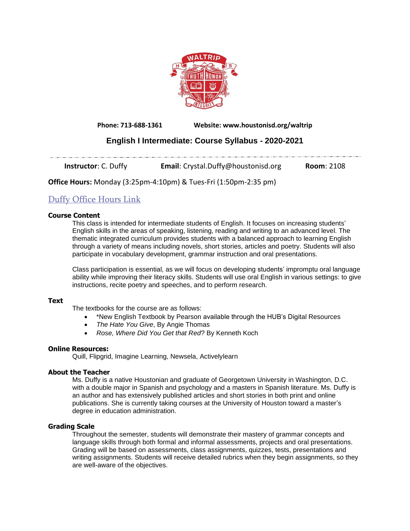

**Phone: 713-688-1361 Website: www.houstonisd.org/waltrip**

# **English I Intermediate: Course Syllabus - 2020-2021**

**Instructor**: C. Duffy **Email:** Crystal.Duffy@houstonisd.org **Room**: 2108

**Office Hours:** Monday (3:25pm-4:10pm) & Tues-Fri (1:50pm-2:35 pm)

# Duffy [Office](https://teams.microsoft.com/l/meetup-join/19%3ameeting_ZDczODk1YjQtMWIyYy00N2JlLTliNzQtOWNlYzE1MTkwMWI4%40thread.v2/0?context=%7b%22Tid%22%3a%22f5eb9966-9336-4b33-8895-9982425b13ed%22%2c%22Oid%22%3a%22d2302368-f0eb-49f4-9573-2438f4e1bfd1%22%7d) Hours Link

# **Course Content**

This class is intended for intermediate students of English. It focuses on increasing students' English skills in the areas of speaking, listening, reading and writing to an advanced level. The thematic integrated curriculum provides students with a balanced approach to learning English through a variety of means including novels, short stories, articles and poetry. Students will also participate in vocabulary development, grammar instruction and oral presentations.

Class participation is essential, as we will focus on developing students' impromptu oral language ability while improving their literacy skills. Students will use oral English in various settings: to give instructions, recite poetry and speeches, and to perform research.

### **Text**

The textbooks for the course are as follows:

- \*New English Textbook by Pearson available through the HUB's Digital Resources
- *The Hate You Give*, By Angie Thomas
- *Rose, Where Did You Get that Red*? By Kenneth Koch

### **Online Resources:**

Quill, Flipgrid, Imagine Learning, Newsela, Activelylearn

# **About the Teacher**

Ms. Duffy is a native Houstonian and graduate of Georgetown University in Washington, D.C. with a double major in Spanish and psychology and a masters in Spanish literature. Ms. Duffy is an author and has extensively published articles and short stories in both print and online publications. She is currently taking courses at the University of Houston toward a master's degree in education administration.

# **Grading Scale**

Throughout the semester, students will demonstrate their mastery of grammar concepts and language skills through both formal and informal assessments, projects and oral presentations. Grading will be based on assessments, class assignments, quizzes, tests, presentations and writing assignments. Students will receive detailed rubrics when they begin assignments, so they are well-aware of the objectives.